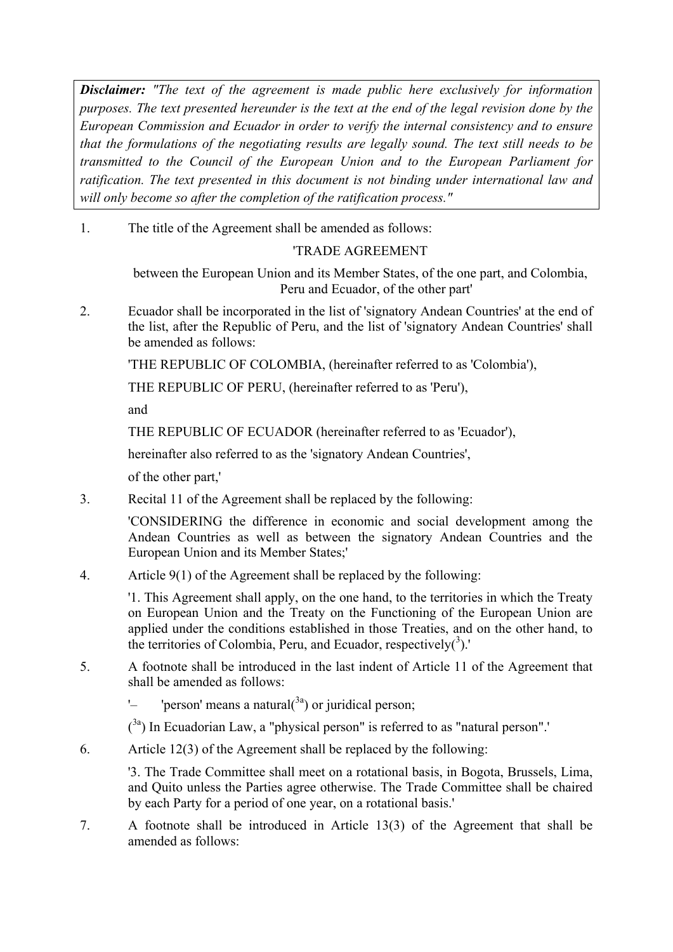*Disclaimer: "The text of the agreement is made public here exclusively for information purposes. The text presented hereunder is the text at the end of the legal revision done by the European Commission and Ecuador in order to verify the internal consistency and to ensure that the formulations of the negotiating results are legally sound. The text still needs to be transmitted to the Council of the European Union and to the European Parliament for ratification. The text presented in this document is not binding under international law and will only become so after the completion of the ratification process."* 

1. The title of the Agreement shall be amended as follows:

## 'TRADE AGREEMENT

between the European Union and its Member States, of the one part, and Colombia, Peru and Ecuador, of the other part'

2. Ecuador shall be incorporated in the list of 'signatory Andean Countries' at the end of the list, after the Republic of Peru, and the list of 'signatory Andean Countries' shall be amended as follows:

'THE REPUBLIC OF COLOMBIA, (hereinafter referred to as 'Colombia'),

THE REPUBLIC OF PERU, (hereinafter referred to as 'Peru'),

and

THE REPUBLIC OF ECUADOR (hereinafter referred to as 'Ecuador'),

hereinafter also referred to as the 'signatory Andean Countries',

of the other part,'

3. Recital 11 of the Agreement shall be replaced by the following:

'CONSIDERING the difference in economic and social development among the Andean Countries as well as between the signatory Andean Countries and the European Union and its Member States;'

4. Article 9(1) of the Agreement shall be replaced by the following:

'1. This Agreement shall apply, on the one hand, to the territories in which the Treaty on European Union and the Treaty on the Functioning of the European Union are applied under the conditions established in those Treaties, and on the other hand, to the territories of Colombia, Peru, and Ecuador, respectively $(3)$ .'

5. A footnote shall be introduced in the last indent of Article 11 of the Agreement that shall be amended as follows:

'– 'person' means a natural $(3a)$  or juridical person;

 $(3a)$  In Ecuadorian Law, a "physical person" is referred to as "natural person".'

6. Article 12(3) of the Agreement shall be replaced by the following:

'3. The Trade Committee shall meet on a rotational basis, in Bogota, Brussels, Lima, and Quito unless the Parties agree otherwise. The Trade Committee shall be chaired by each Party for a period of one year, on a rotational basis.'

7. A footnote shall be introduced in Article 13(3) of the Agreement that shall be amended as follows: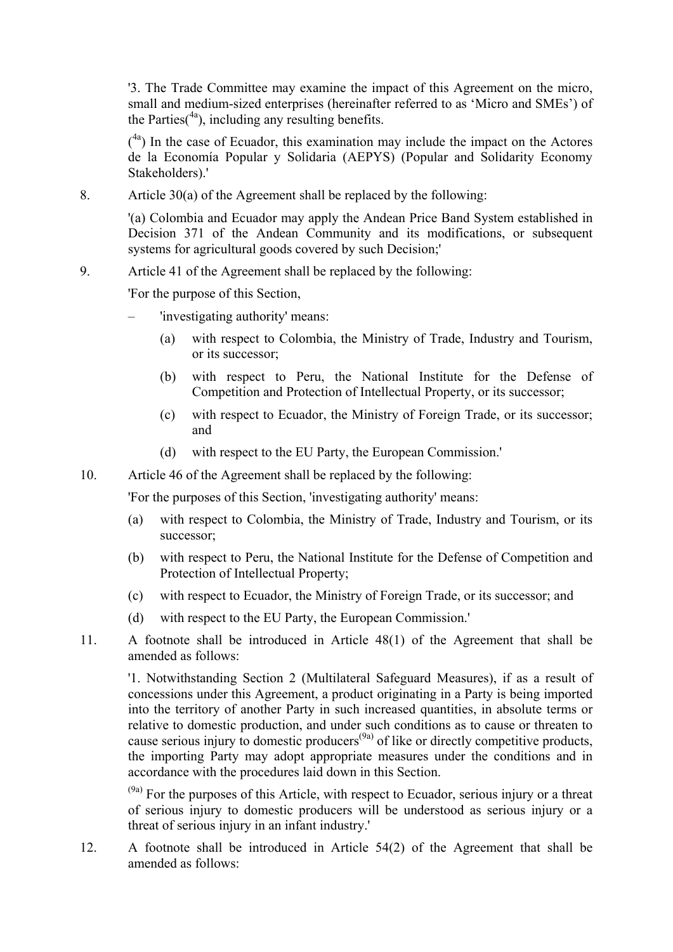'3. The Trade Committee may examine the impact of this Agreement on the micro, small and medium-sized enterprises (hereinafter referred to as 'Micro and SMEs') of the Parties( $4a$ ), including any resulting benefits.

 $(4a)$  In the case of Ecuador, this examination may include the impact on the Actores de la Economía Popular y Solidaria (AEPYS) (Popular and Solidarity Economy Stakeholders).'

8. Article 30(a) of the Agreement shall be replaced by the following:

'(a) Colombia and Ecuador may apply the Andean Price Band System established in Decision 371 of the Andean Community and its modifications, or subsequent systems for agricultural goods covered by such Decision;'

## 9. Article 41 of the Agreement shall be replaced by the following:

'For the purpose of this Section,

- 'investigating authority' means:
	- (a) with respect to Colombia, the Ministry of Trade, Industry and Tourism, or its successor;
	- (b) with respect to Peru, the National Institute for the Defense of Competition and Protection of Intellectual Property, or its successor;
	- (c) with respect to Ecuador, the Ministry of Foreign Trade, or its successor; and
	- (d) with respect to the EU Party, the European Commission.'
- 10. Article 46 of the Agreement shall be replaced by the following:

'For the purposes of this Section, 'investigating authority' means:

- (a) with respect to Colombia, the Ministry of Trade, Industry and Tourism, or its successor;
- (b) with respect to Peru, the National Institute for the Defense of Competition and Protection of Intellectual Property;
- (c) with respect to Ecuador, the Ministry of Foreign Trade, or its successor; and
- (d) with respect to the EU Party, the European Commission.'
- 11. A footnote shall be introduced in Article 48(1) of the Agreement that shall be amended as follows:

'1. Notwithstanding Section 2 (Multilateral Safeguard Measures), if as a result of concessions under this Agreement, a product originating in a Party is being imported into the territory of another Party in such increased quantities, in absolute terms or relative to domestic production, and under such conditions as to cause or threaten to cause serious injury to domestic producers<sup>(9a)</sup> of like or directly competitive products, the importing Party may adopt appropriate measures under the conditions and in accordance with the procedures laid down in this Section.

 $(9a)$  For the purposes of this Article, with respect to Ecuador, serious injury or a threat of serious injury to domestic producers will be understood as serious injury or a threat of serious injury in an infant industry.'

12. A footnote shall be introduced in Article 54(2) of the Agreement that shall be amended as follows: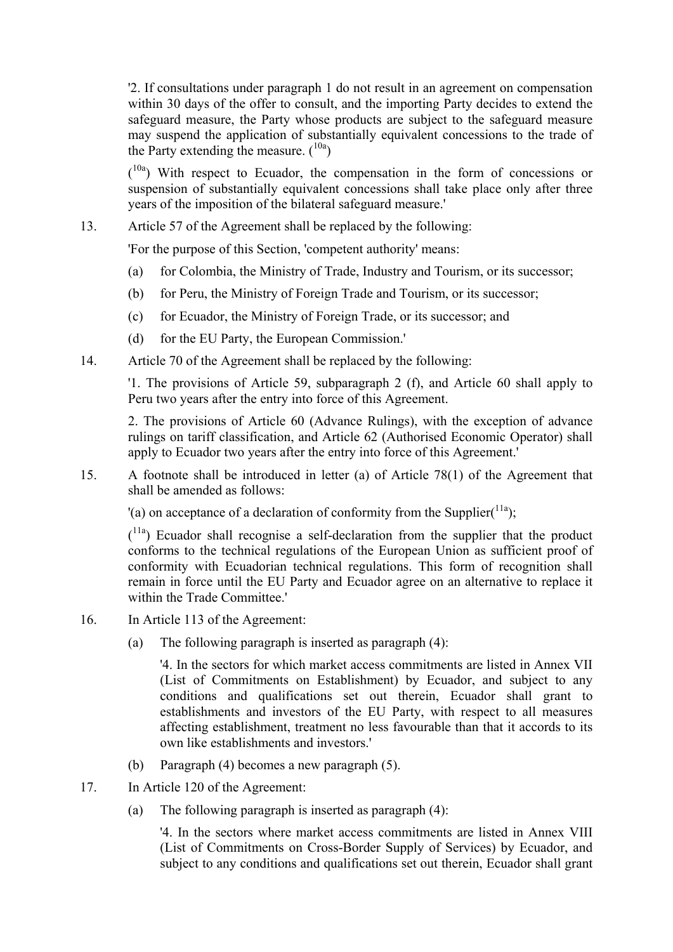'2. If consultations under paragraph 1 do not result in an agreement on compensation within 30 days of the offer to consult, and the importing Party decides to extend the safeguard measure, the Party whose products are subject to the safeguard measure may suspend the application of substantially equivalent concessions to the trade of the Party extending the measure.  $(10a)$ 

 $(10a)$  With respect to Ecuador, the compensation in the form of concessions or suspension of substantially equivalent concessions shall take place only after three years of the imposition of the bilateral safeguard measure.'

## 13. Article 57 of the Agreement shall be replaced by the following:

'For the purpose of this Section, 'competent authority' means:

- (a) for Colombia, the Ministry of Trade, Industry and Tourism, or its successor;
- (b) for Peru, the Ministry of Foreign Trade and Tourism, or its successor;
- (c) for Ecuador, the Ministry of Foreign Trade, or its successor; and
- (d) for the EU Party, the European Commission.'
- 14. Article 70 of the Agreement shall be replaced by the following:

'1. The provisions of Article 59, subparagraph 2 (f), and Article 60 shall apply to Peru two years after the entry into force of this Agreement.

2. The provisions of Article 60 (Advance Rulings), with the exception of advance rulings on tariff classification, and Article 62 (Authorised Economic Operator) shall apply to Ecuador two years after the entry into force of this Agreement.'

15. A footnote shall be introduced in letter (a) of Article 78(1) of the Agreement that shall be amended as follows:

'(a) on acceptance of a declaration of conformity from the Supplier $(11a)$ :

 $(1)$ <sup>11a</sup>) Ecuador shall recognise a self-declaration from the supplier that the product conforms to the technical regulations of the European Union as sufficient proof of conformity with Ecuadorian technical regulations. This form of recognition shall remain in force until the EU Party and Ecuador agree on an alternative to replace it within the Trade Committee.'

- 16. In Article 113 of the Agreement:
	- (a) The following paragraph is inserted as paragraph (4):

'4. In the sectors for which market access commitments are listed in Annex VII (List of Commitments on Establishment) by Ecuador, and subject to any conditions and qualifications set out therein, Ecuador shall grant to establishments and investors of the EU Party, with respect to all measures affecting establishment, treatment no less favourable than that it accords to its own like establishments and investors.'

- (b) Paragraph (4) becomes a new paragraph (5).
- 17. In Article 120 of the Agreement:
	- (a) The following paragraph is inserted as paragraph (4):

'4. In the sectors where market access commitments are listed in Annex VIII (List of Commitments on Cross-Border Supply of Services) by Ecuador, and subject to any conditions and qualifications set out therein, Ecuador shall grant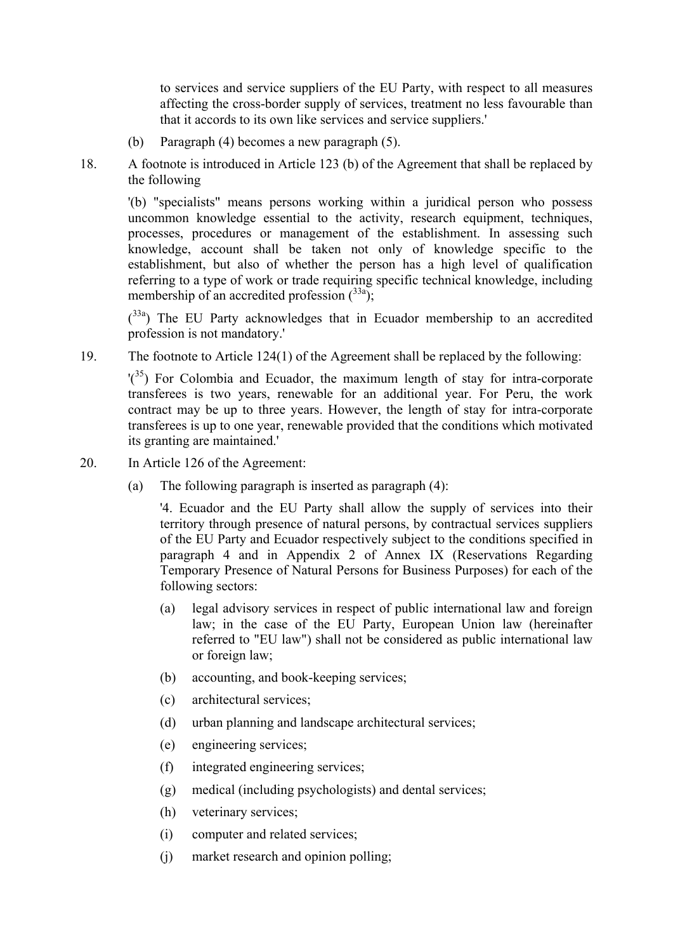to services and service suppliers of the EU Party, with respect to all measures affecting the cross-border supply of services, treatment no less favourable than that it accords to its own like services and service suppliers.'

- (b) Paragraph (4) becomes a new paragraph (5).
- 18. A footnote is introduced in Article 123 (b) of the Agreement that shall be replaced by the following

'(b) "specialists" means persons working within a juridical person who possess uncommon knowledge essential to the activity, research equipment, techniques, processes, procedures or management of the establishment. In assessing such knowledge, account shall be taken not only of knowledge specific to the establishment, but also of whether the person has a high level of qualification referring to a type of work or trade requiring specific technical knowledge, including membership of an accredited profession  $\binom{33a}{3}$ ;

 $(33a)$  The EU Party acknowledges that in Ecuador membership to an accredited profession is not mandatory.'

19. The footnote to Article 124(1) of the Agreement shall be replaced by the following:

 $'(3^5)$  For Colombia and Ecuador, the maximum length of stay for intra-corporate transferees is two years, renewable for an additional year. For Peru, the work contract may be up to three years. However, the length of stay for intra-corporate transferees is up to one year, renewable provided that the conditions which motivated its granting are maintained.'

- 20. In Article 126 of the Agreement:
	- (a) The following paragraph is inserted as paragraph (4):

'4. Ecuador and the EU Party shall allow the supply of services into their territory through presence of natural persons, by contractual services suppliers of the EU Party and Ecuador respectively subject to the conditions specified in paragraph 4 and in Appendix 2 of Annex IX (Reservations Regarding Temporary Presence of Natural Persons for Business Purposes) for each of the following sectors:

- (a) legal advisory services in respect of public international law and foreign law; in the case of the EU Party, European Union law (hereinafter referred to "EU law") shall not be considered as public international law or foreign law;
- (b) accounting, and book-keeping services;
- (c) architectural services;
- (d) urban planning and landscape architectural services;
- (e) engineering services;
- (f) integrated engineering services;
- (g) medical (including psychologists) and dental services;
- (h) veterinary services;
- (i) computer and related services;
- (j) market research and opinion polling;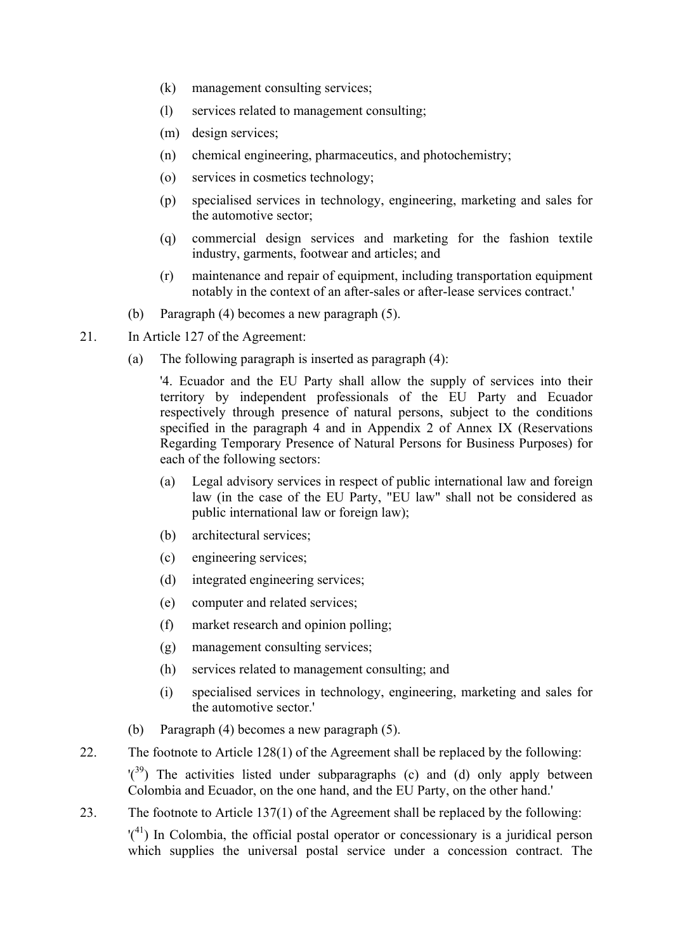- (k) management consulting services;
- (l) services related to management consulting;
- (m) design services;
- (n) chemical engineering, pharmaceutics, and photochemistry;
- (o) services in cosmetics technology;
- (p) specialised services in technology, engineering, marketing and sales for the automotive sector;
- (q) commercial design services and marketing for the fashion textile industry, garments, footwear and articles; and
- (r) maintenance and repair of equipment, including transportation equipment notably in the context of an after-sales or after-lease services contract.'
- (b) Paragraph (4) becomes a new paragraph (5).
- 21. In Article 127 of the Agreement:
	- (a) The following paragraph is inserted as paragraph (4):

'4. Ecuador and the EU Party shall allow the supply of services into their territory by independent professionals of the EU Party and Ecuador respectively through presence of natural persons, subject to the conditions specified in the paragraph 4 and in Appendix 2 of Annex IX (Reservations Regarding Temporary Presence of Natural Persons for Business Purposes) for each of the following sectors:

- (a) Legal advisory services in respect of public international law and foreign law (in the case of the EU Party, "EU law" shall not be considered as public international law or foreign law);
- (b) architectural services;
- (c) engineering services;
- (d) integrated engineering services;
- (e) computer and related services;
- (f) market research and opinion polling;
- (g) management consulting services;
- (h) services related to management consulting; and
- (i) specialised services in technology, engineering, marketing and sales for the automotive sector.'
- (b) Paragraph (4) becomes a new paragraph (5).
- 22. The footnote to Article 128(1) of the Agreement shall be replaced by the following:

 $\binom{39}{3}$  The activities listed under subparagraphs (c) and (d) only apply between Colombia and Ecuador, on the one hand, and the EU Party, on the other hand.'

23. The footnote to Article 137(1) of the Agreement shall be replaced by the following:

 $'({}^{41})$  In Colombia, the official postal operator or concessionary is a juridical person which supplies the universal postal service under a concession contract. The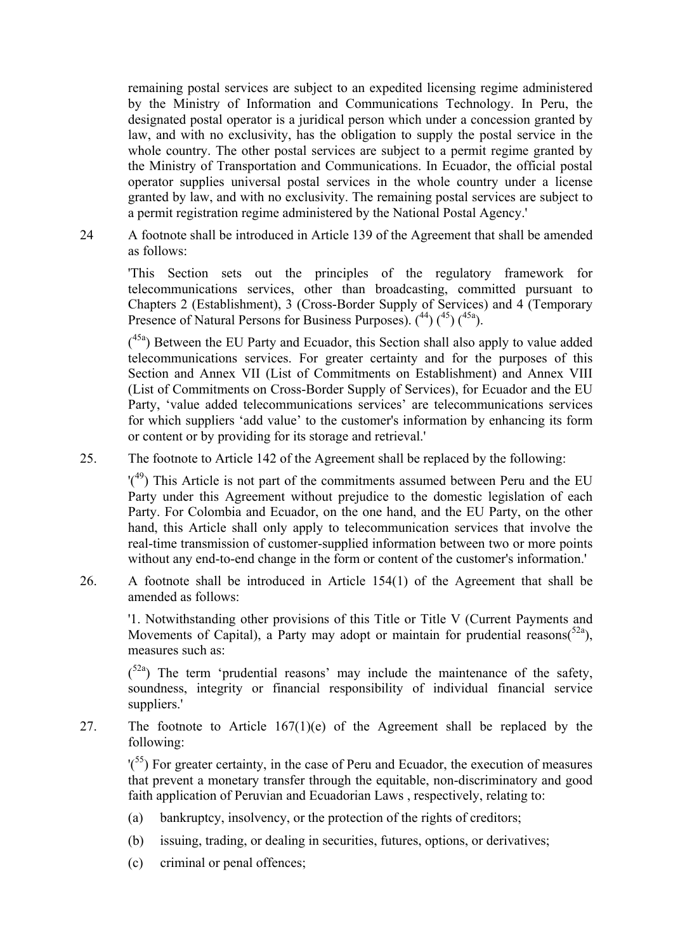remaining postal services are subject to an expedited licensing regime administered by the Ministry of Information and Communications Technology. In Peru, the designated postal operator is a juridical person which under a concession granted by law, and with no exclusivity, has the obligation to supply the postal service in the whole country. The other postal services are subject to a permit regime granted by the Ministry of Transportation and Communications. In Ecuador, the official postal operator supplies universal postal services in the whole country under a license granted by law, and with no exclusivity. The remaining postal services are subject to a permit registration regime administered by the National Postal Agency.'

24 A footnote shall be introduced in Article 139 of the Agreement that shall be amended as follows:

'This Section sets out the principles of the regulatory framework for telecommunications services, other than broadcasting, committed pursuant to Chapters 2 (Establishment), 3 (Cross-Border Supply of Services) and 4 (Temporary Presence of Natural Persons for Business Purposes).  $(44)$   $(45)$   $(45a)$ .

 $(45a)$  Between the EU Party and Ecuador, this Section shall also apply to value added telecommunications services. For greater certainty and for the purposes of this Section and Annex VII (List of Commitments on Establishment) and Annex VIII (List of Commitments on Cross-Border Supply of Services), for Ecuador and the EU Party, 'value added telecommunications services' are telecommunications services for which suppliers 'add value' to the customer's information by enhancing its form or content or by providing for its storage and retrieval.'

25. The footnote to Article 142 of the Agreement shall be replaced by the following:

 $'(4)$ <sup>9</sup>) This Article is not part of the commitments assumed between Peru and the EU Party under this Agreement without prejudice to the domestic legislation of each Party. For Colombia and Ecuador, on the one hand, and the EU Party, on the other hand, this Article shall only apply to telecommunication services that involve the real-time transmission of customer-supplied information between two or more points without any end-to-end change in the form or content of the customer's information.'

26. A footnote shall be introduced in Article 154(1) of the Agreement that shall be amended as follows:

'1. Notwithstanding other provisions of this Title or Title V (Current Payments and Movements of Capital), a Party may adopt or maintain for prudential reasons( $52a$ ), measures such as:

 $(5^{2a})$  The term 'prudential reasons' may include the maintenance of the safety, soundness, integrity or financial responsibility of individual financial service suppliers.'

27. The footnote to Article  $167(1)(e)$  of the Agreement shall be replaced by the following:

 $\binom{55}{5}$  For greater certainty, in the case of Peru and Ecuador, the execution of measures that prevent a monetary transfer through the equitable, non-discriminatory and good faith application of Peruvian and Ecuadorian Laws , respectively, relating to:

- (a) bankruptcy, insolvency, or the protection of the rights of creditors;
- (b) issuing, trading, or dealing in securities, futures, options, or derivatives;
- (c) criminal or penal offences;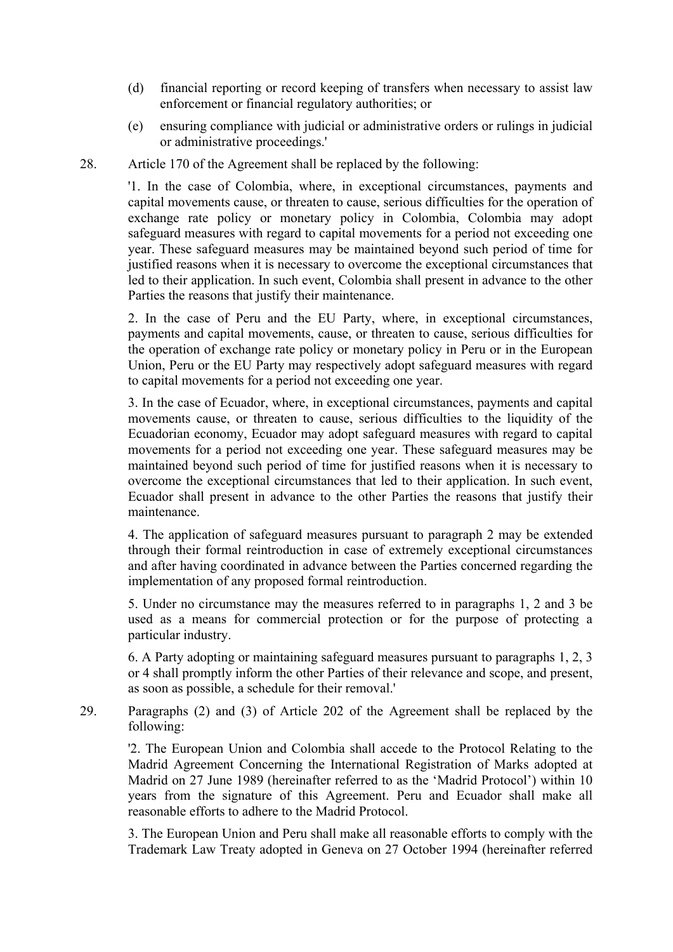- (d) financial reporting or record keeping of transfers when necessary to assist law enforcement or financial regulatory authorities; or
- (e) ensuring compliance with judicial or administrative orders or rulings in judicial or administrative proceedings.'

28. Article 170 of the Agreement shall be replaced by the following:

'1. In the case of Colombia, where, in exceptional circumstances, payments and capital movements cause, or threaten to cause, serious difficulties for the operation of exchange rate policy or monetary policy in Colombia, Colombia may adopt safeguard measures with regard to capital movements for a period not exceeding one year. These safeguard measures may be maintained beyond such period of time for justified reasons when it is necessary to overcome the exceptional circumstances that led to their application. In such event, Colombia shall present in advance to the other Parties the reasons that justify their maintenance.

2. In the case of Peru and the EU Party, where, in exceptional circumstances, payments and capital movements, cause, or threaten to cause, serious difficulties for the operation of exchange rate policy or monetary policy in Peru or in the European Union, Peru or the EU Party may respectively adopt safeguard measures with regard to capital movements for a period not exceeding one year.

3. In the case of Ecuador, where, in exceptional circumstances, payments and capital movements cause, or threaten to cause, serious difficulties to the liquidity of the Ecuadorian economy, Ecuador may adopt safeguard measures with regard to capital movements for a period not exceeding one year. These safeguard measures may be maintained beyond such period of time for justified reasons when it is necessary to overcome the exceptional circumstances that led to their application. In such event, Ecuador shall present in advance to the other Parties the reasons that justify their maintenance.

4. The application of safeguard measures pursuant to paragraph 2 may be extended through their formal reintroduction in case of extremely exceptional circumstances and after having coordinated in advance between the Parties concerned regarding the implementation of any proposed formal reintroduction.

5. Under no circumstance may the measures referred to in paragraphs 1, 2 and 3 be used as a means for commercial protection or for the purpose of protecting a particular industry.

6. A Party adopting or maintaining safeguard measures pursuant to paragraphs 1, 2, 3 or 4 shall promptly inform the other Parties of their relevance and scope, and present, as soon as possible, a schedule for their removal.'

29. Paragraphs (2) and (3) of Article 202 of the Agreement shall be replaced by the following:

'2. The European Union and Colombia shall accede to the Protocol Relating to the Madrid Agreement Concerning the International Registration of Marks adopted at Madrid on 27 June 1989 (hereinafter referred to as the 'Madrid Protocol') within 10 years from the signature of this Agreement. Peru and Ecuador shall make all reasonable efforts to adhere to the Madrid Protocol.

3. The European Union and Peru shall make all reasonable efforts to comply with the Trademark Law Treaty adopted in Geneva on 27 October 1994 (hereinafter referred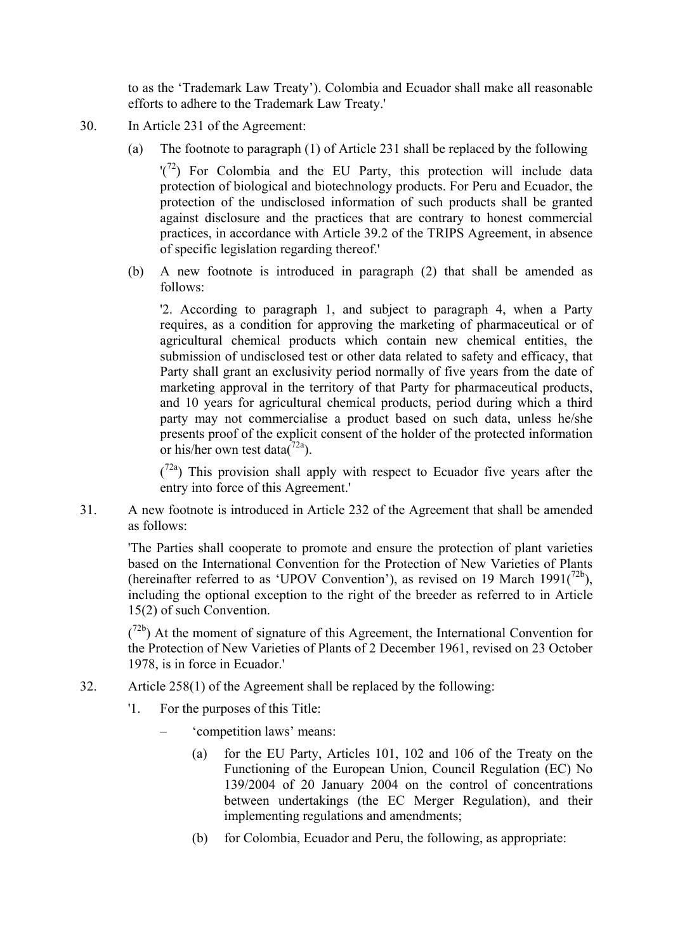to as the 'Trademark Law Treaty'). Colombia and Ecuador shall make all reasonable efforts to adhere to the Trademark Law Treaty.'

- 30. In Article 231 of the Agreement:
	- (a) The footnote to paragraph (1) of Article 231 shall be replaced by the following

 $'(7<sup>2</sup>)$  For Colombia and the EU Party, this protection will include data protection of biological and biotechnology products. For Peru and Ecuador, the protection of the undisclosed information of such products shall be granted against disclosure and the practices that are contrary to honest commercial practices, in accordance with Article 39.2 of the TRIPS Agreement, in absence of specific legislation regarding thereof.'

(b) A new footnote is introduced in paragraph (2) that shall be amended as follows:

'2. According to paragraph 1, and subject to paragraph 4, when a Party requires, as a condition for approving the marketing of pharmaceutical or of agricultural chemical products which contain new chemical entities, the submission of undisclosed test or other data related to safety and efficacy, that Party shall grant an exclusivity period normally of five years from the date of marketing approval in the territory of that Party for pharmaceutical products, and 10 years for agricultural chemical products, period during which a third party may not commercialise a product based on such data, unless he/she presents proof of the explicit consent of the holder of the protected information or his/her own test data $(72a)$ .

 $(7<sup>2a</sup>)$  This provision shall apply with respect to Ecuador five years after the entry into force of this Agreement.'

31. A new footnote is introduced in Article 232 of the Agreement that shall be amended as follows:

'The Parties shall cooperate to promote and ensure the protection of plant varieties based on the International Convention for the Protection of New Varieties of Plants (hereinafter referred to as 'UPOV Convention'), as revised on 19 March 1991( $^{72b}$ ), including the optional exception to the right of the breeder as referred to in Article 15(2) of such Convention.

 $(72b)$  At the moment of signature of this Agreement, the International Convention for the Protection of New Varieties of Plants of 2 December 1961, revised on 23 October 1978, is in force in Ecuador.'

- 32. Article 258(1) of the Agreement shall be replaced by the following:
	- '1. For the purposes of this Title:
		- 'competition laws' means:
			- (a) for the EU Party, Articles 101, 102 and 106 of the Treaty on the Functioning of the European Union, Council Regulation (EC) No 139/2004 of 20 January 2004 on the control of concentrations between undertakings (the EC Merger Regulation), and their implementing regulations and amendments;
			- (b) for Colombia, Ecuador and Peru, the following, as appropriate: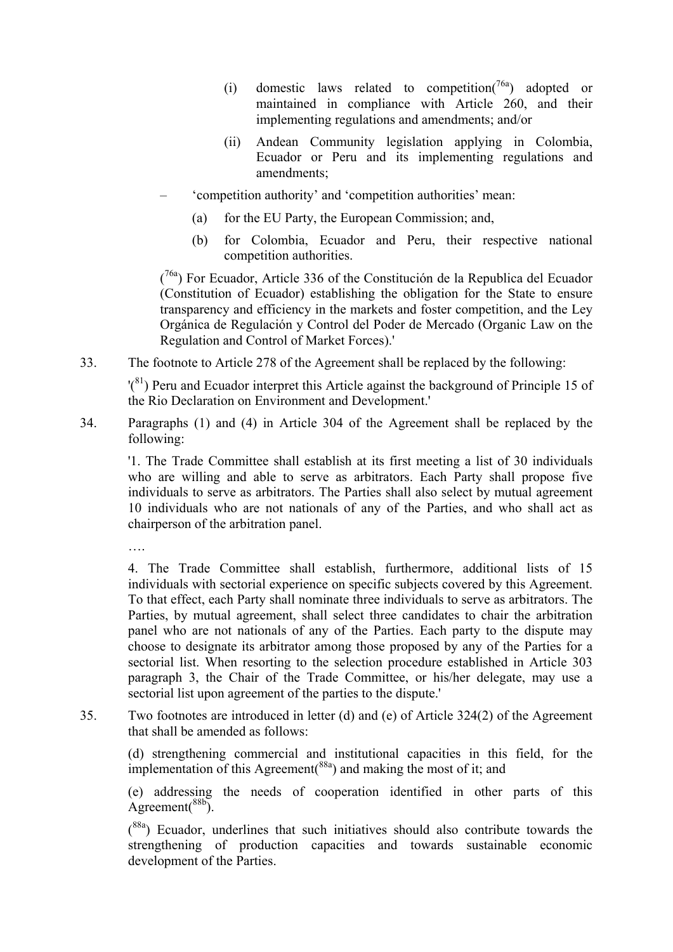- (i) domestic laws related to competition( $7^{6a}$ ) adopted or maintained in compliance with Article 260, and their implementing regulations and amendments; and/or
- (ii) Andean Community legislation applying in Colombia, Ecuador or Peru and its implementing regulations and amendments;
- 'competition authority' and 'competition authorities' mean:
	- (a) for the EU Party, the European Commission; and,
	- (b) for Colombia, Ecuador and Peru, their respective national competition authorities.

 $(76a)$  For Ecuador, Article 336 of the Constitución de la Republica del Ecuador (Constitution of Ecuador) establishing the obligation for the State to ensure transparency and efficiency in the markets and foster competition, and the Ley Orgánica de Regulación y Control del Poder de Mercado (Organic Law on the Regulation and Control of Market Forces).'

33. The footnote to Article 278 of the Agreement shall be replaced by the following:

'(81) Peru and Ecuador interpret this Article against the background of Principle 15 of the Rio Declaration on Environment and Development.'

34. Paragraphs (1) and (4) in Article 304 of the Agreement shall be replaced by the following:

'1. The Trade Committee shall establish at its first meeting a list of 30 individuals who are willing and able to serve as arbitrators. Each Party shall propose five individuals to serve as arbitrators. The Parties shall also select by mutual agreement 10 individuals who are not nationals of any of the Parties, and who shall act as chairperson of the arbitration panel.

….

4. The Trade Committee shall establish, furthermore, additional lists of 15 individuals with sectorial experience on specific subjects covered by this Agreement. To that effect, each Party shall nominate three individuals to serve as arbitrators. The Parties, by mutual agreement, shall select three candidates to chair the arbitration panel who are not nationals of any of the Parties. Each party to the dispute may choose to designate its arbitrator among those proposed by any of the Parties for a sectorial list. When resorting to the selection procedure established in Article 303 paragraph 3, the Chair of the Trade Committee, or his/her delegate, may use a sectorial list upon agreement of the parties to the dispute.'

35. Two footnotes are introduced in letter (d) and (e) of Article 324(2) of the Agreement that shall be amended as follows:

(d) strengthening commercial and institutional capacities in this field, for the implementation of this Agreement( $88a$ ) and making the most of it; and

(e) addressing the needs of cooperation identified in other parts of this  $A$ greement $(88b)$ .

 $(88a)$  Ecuador, underlines that such initiatives should also contribute towards the strengthening of production capacities and towards sustainable economic development of the Parties.